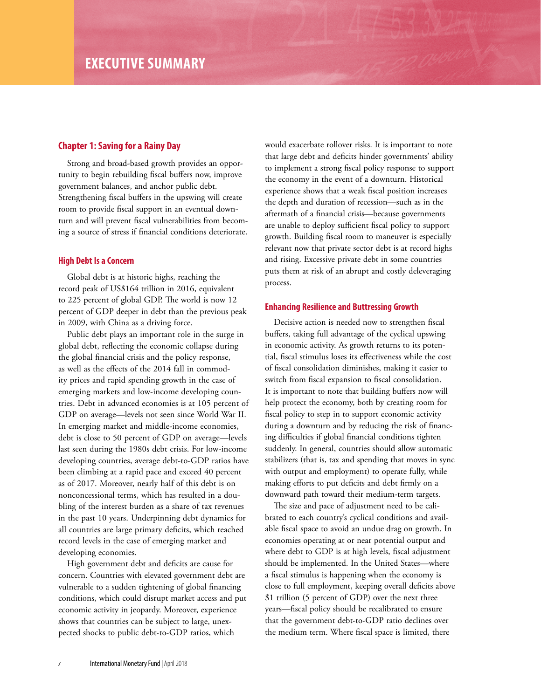## **Chapter 1: Saving for a Rainy Day**

Strong and broad-based growth provides an opportunity to begin rebuilding fiscal buffers now, improve government balances, and anchor public debt. Strengthening fiscal buffers in the upswing will create room to provide fiscal support in an eventual downturn and will prevent fiscal vulnerabilities from becoming a source of stress if financial conditions deteriorate.

## **High Debt Is a Concern**

Global debt is at historic highs, reaching the record peak of US\$164 trillion in 2016, equivalent to 225 percent of global GDP. The world is now 12 percent of GDP deeper in debt than the previous peak in 2009, with China as a driving force.

Public debt plays an important role in the surge in global debt, reflecting the economic collapse during the global financial crisis and the policy response, as well as the effects of the 2014 fall in commodity prices and rapid spending growth in the case of emerging markets and low-income developing countries. Debt in advanced economies is at 105 percent of GDP on average—levels not seen since World War II. In emerging market and middle-income economies, debt is close to 50 percent of GDP on average—levels last seen during the 1980s debt crisis. For low-income developing countries, average debt-to-GDP ratios have been climbing at a rapid pace and exceed 40 percent as of 2017. Moreover, nearly half of this debt is on nonconcessional terms, which has resulted in a doubling of the interest burden as a share of tax revenues in the past 10 years. Underpinning debt dynamics for all countries are large primary deficits, which reached record levels in the case of emerging market and developing economies.

High government debt and deficits are cause for concern. Countries with elevated government debt are vulnerable to a sudden tightening of global financing conditions, which could disrupt market access and put economic activity in jeopardy. Moreover, experience shows that countries can be subject to large, unexpected shocks to public debt-to-GDP ratios, which

would exacerbate rollover risks. It is important to note that large debt and deficits hinder governments' ability to implement a strong fiscal policy response to support the economy in the event of a downturn. Historical experience shows that a weak fiscal position increases the depth and duration of recession—such as in the aftermath of a financial crisis—because governments are unable to deploy sufficient fiscal policy to support growth. Building fiscal room to maneuver is especially relevant now that private sector debt is at record highs and rising. Excessive private debt in some countries puts them at risk of an abrupt and costly deleveraging process.

## **Enhancing Resilience and Buttressing Growth**

Decisive action is needed now to strengthen fiscal buffers, taking full advantage of the cyclical upswing in economic activity. As growth returns to its potential, fiscal stimulus loses its effectiveness while the cost of fiscal consolidation diminishes, making it easier to switch from fiscal expansion to fiscal consolidation. It is important to note that building buffers now will help protect the economy, both by creating room for fiscal policy to step in to support economic activity during a downturn and by reducing the risk of financing difficulties if global financial conditions tighten suddenly. In general, countries should allow automatic stabilizers (that is, tax and spending that moves in sync with output and employment) to operate fully, while making efforts to put deficits and debt firmly on a downward path toward their medium-term targets.

The size and pace of adjustment need to be calibrated to each country's cyclical conditions and available fiscal space to avoid an undue drag on growth. In economies operating at or near potential output and where debt to GDP is at high levels, fiscal adjustment should be implemented. In the United States—where a fiscal stimulus is happening when the economy is close to full employment, keeping overall deficits above \$1 trillion (5 percent of GDP) over the next three years—fiscal policy should be recalibrated to ensure that the government debt-to-GDP ratio declines over the medium term. Where fiscal space is limited, there